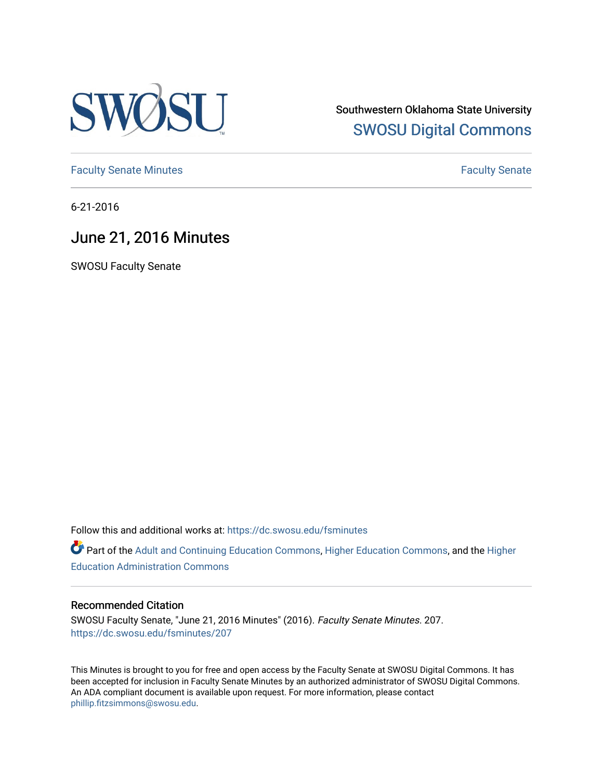

Southwestern Oklahoma State University [SWOSU Digital Commons](https://dc.swosu.edu/) 

[Faculty Senate Minutes](https://dc.swosu.edu/fsminutes) **Faculty** Senate Minutes

6-21-2016

# June 21, 2016 Minutes

SWOSU Faculty Senate

Follow this and additional works at: [https://dc.swosu.edu/fsminutes](https://dc.swosu.edu/fsminutes?utm_source=dc.swosu.edu%2Ffsminutes%2F207&utm_medium=PDF&utm_campaign=PDFCoverPages) 

Part of the [Adult and Continuing Education Commons,](http://network.bepress.com/hgg/discipline/1375?utm_source=dc.swosu.edu%2Ffsminutes%2F207&utm_medium=PDF&utm_campaign=PDFCoverPages) [Higher Education Commons,](http://network.bepress.com/hgg/discipline/1245?utm_source=dc.swosu.edu%2Ffsminutes%2F207&utm_medium=PDF&utm_campaign=PDFCoverPages) and the [Higher](http://network.bepress.com/hgg/discipline/791?utm_source=dc.swosu.edu%2Ffsminutes%2F207&utm_medium=PDF&utm_campaign=PDFCoverPages) [Education Administration Commons](http://network.bepress.com/hgg/discipline/791?utm_source=dc.swosu.edu%2Ffsminutes%2F207&utm_medium=PDF&utm_campaign=PDFCoverPages) 

#### Recommended Citation

SWOSU Faculty Senate, "June 21, 2016 Minutes" (2016). Faculty Senate Minutes. 207. [https://dc.swosu.edu/fsminutes/207](https://dc.swosu.edu/fsminutes/207?utm_source=dc.swosu.edu%2Ffsminutes%2F207&utm_medium=PDF&utm_campaign=PDFCoverPages) 

This Minutes is brought to you for free and open access by the Faculty Senate at SWOSU Digital Commons. It has been accepted for inclusion in Faculty Senate Minutes by an authorized administrator of SWOSU Digital Commons. An ADA compliant document is available upon request. For more information, please contact [phillip.fitzsimmons@swosu.edu](mailto:phillip.fitzsimmons@swosu.edu).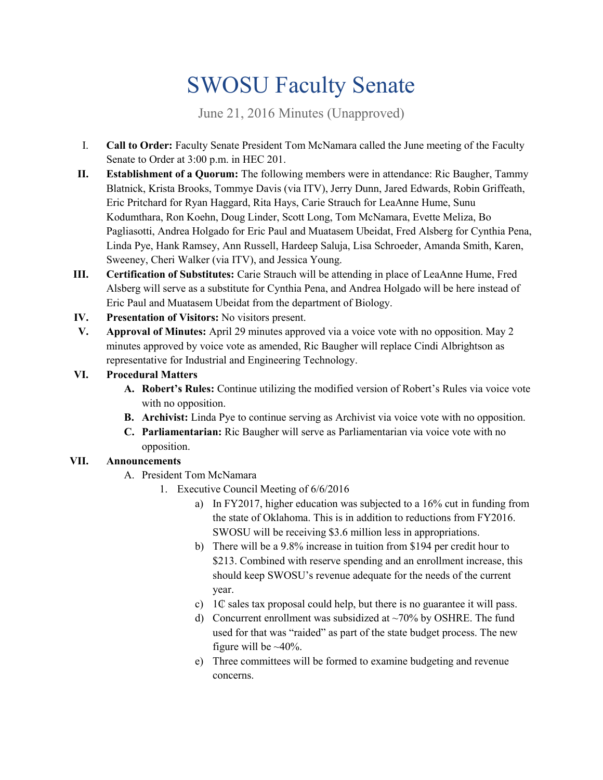# SWOSU Faculty Senate

June 21, 2016 Minutes (Unapproved)

- I. **Call to Order:** Faculty Senate President Tom McNamara called the June meeting of the Faculty Senate to Order at 3:00 p.m. in HEC 201.
- **II. Establishment of a Quorum:** The following members were in attendance: Ric Baugher, Tammy Blatnick, Krista Brooks, Tommye Davis (via ITV), Jerry Dunn, Jared Edwards, Robin Griffeath, Eric Pritchard for Ryan Haggard, Rita Hays, Carie Strauch for LeaAnne Hume, Sunu Kodumthara, Ron Koehn, Doug Linder, Scott Long, Tom McNamara, Evette Meliza, Bo Pagliasotti, Andrea Holgado for Eric Paul and Muatasem Ubeidat, Fred Alsberg for Cynthia Pena, Linda Pye, Hank Ramsey, Ann Russell, Hardeep Saluja, Lisa Schroeder, Amanda Smith, Karen, Sweeney, Cheri Walker (via ITV), and Jessica Young.
- **III. Certification of Substitutes:** Carie Strauch will be attending in place of LeaAnne Hume, Fred Alsberg will serve as a substitute for Cynthia Pena, and Andrea Holgado will be here instead of Eric Paul and Muatasem Ubeidat from the department of Biology.
- **IV. Presentation of Visitors:** No visitors present.
- **V. Approval of Minutes:** April 29 minutes approved via a voice vote with no opposition. May 2 minutes approved by voice vote as amended, Ric Baugher will replace Cindi Albrightson as representative for Industrial and Engineering Technology.
- **VI. Procedural Matters**
	- **A. Robert's Rules:** Continue utilizing the modified version of Robert's Rules via voice vote with no opposition.
	- **B. Archivist:** Linda Pye to continue serving as Archivist via voice vote with no opposition.
	- **C. Parliamentarian:** Ric Baugher will serve as Parliamentarian via voice vote with no opposition.

## **VII. Announcements**

- A. President Tom McNamara
	- 1. Executive Council Meeting of 6/6/2016
		- a) In FY2017, higher education was subjected to a 16% cut in funding from the state of Oklahoma. This is in addition to reductions from FY2016. SWOSU will be receiving \$3.6 million less in appropriations.
		- b) There will be a 9.8% increase in tuition from \$194 per credit hour to \$213. Combined with reserve spending and an enrollment increase, this should keep SWOSU's revenue adequate for the needs of the current year.
		- c) 1₵ sales tax proposal could help, but there is no guarantee it will pass.
		- d) Concurrent enrollment was subsidized at  $\sim$ 70% by OSHRE. The fund used for that was "raided" as part of the state budget process. The new figure will be  $\sim$ 40%.
		- e) Three committees will be formed to examine budgeting and revenue concerns.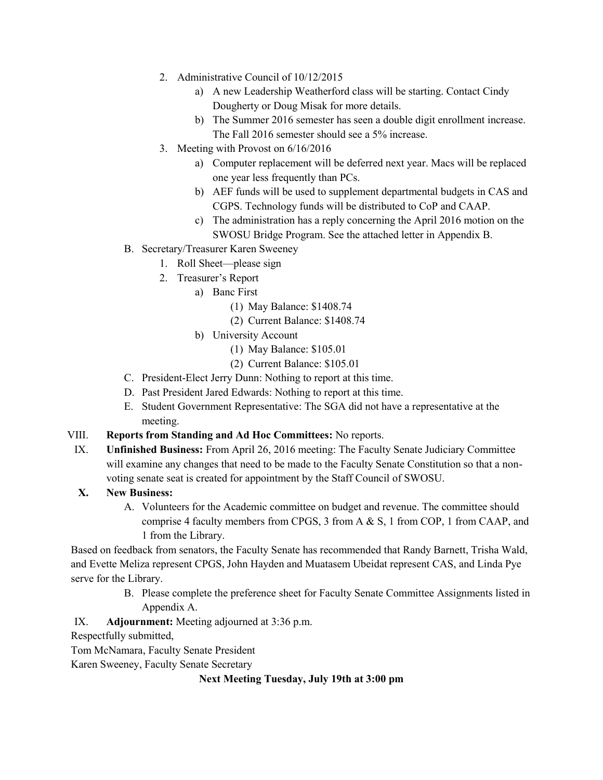- 2. Administrative Council of 10/12/2015
	- a) A new Leadership Weatherford class will be starting. Contact Cindy Dougherty or Doug Misak for more details.
	- b) The Summer 2016 semester has seen a double digit enrollment increase. The Fall 2016 semester should see a 5% increase.
- 3. Meeting with Provost on 6/16/2016
	- a) Computer replacement will be deferred next year. Macs will be replaced one year less frequently than PCs.
	- b) AEF funds will be used to supplement departmental budgets in CAS and CGPS. Technology funds will be distributed to CoP and CAAP.
	- c) The administration has a reply concerning the April 2016 motion on the SWOSU Bridge Program. See the attached letter in Appendix B.
- B. Secretary/Treasurer Karen Sweeney
	- 1. Roll Sheet—please sign
	- 2. Treasurer's Report
		- a) Banc First
			- (1) May Balance: \$1408.74
			- (2) Current Balance: \$1408.74
		- b) University Account
			- (1) May Balance: \$105.01
			- (2) Current Balance: \$105.01
- C. President-Elect Jerry Dunn: Nothing to report at this time.
- D. Past President Jared Edwards: Nothing to report at this time.
- E. Student Government Representative: The SGA did not have a representative at the meeting.

#### VIII. **Reports from Standing and Ad Hoc Committees:** No reports.

IX. **Unfinished Business:** From April 26, 2016 meeting: The Faculty Senate Judiciary Committee will examine any changes that need to be made to the Faculty Senate Constitution so that a nonvoting senate seat is created for appointment by the Staff Council of SWOSU.

#### **X. New Business:**

A. Volunteers for the Academic committee on budget and revenue. The committee should comprise 4 faculty members from CPGS, 3 from A & S, 1 from COP, 1 from CAAP, and 1 from the Library.

Based on feedback from senators, the Faculty Senate has recommended that Randy Barnett, Trisha Wald, and Evette Meliza represent CPGS, John Hayden and Muatasem Ubeidat represent CAS, and Linda Pye serve for the Library.

> B. Please complete the preference sheet for Faculty Senate Committee Assignments listed in Appendix A.

#### IX. **Adjournment:** Meeting adjourned at 3:36 p.m.

Respectfully submitted,

Tom McNamara, Faculty Senate President

Karen Sweeney, Faculty Senate Secretary

#### **Next Meeting Tuesday, July 19th at 3:00 pm**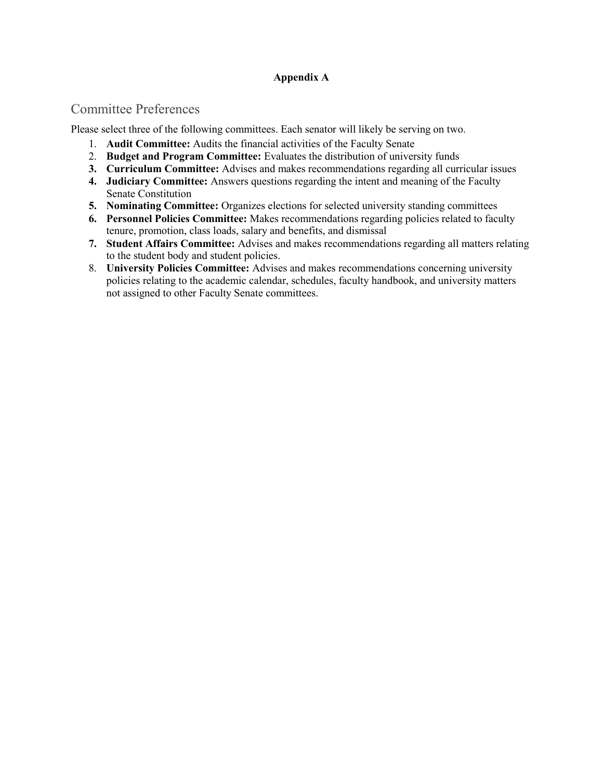#### **Appendix A**

## Committee Preferences

Please select three of the following committees. Each senator will likely be serving on two.

- 1. **Audit Committee:** Audits the financial activities of the Faculty Senate
- 2. **Budget and Program Committee:** Evaluates the distribution of university funds
- **3. Curriculum Committee:** Advises and makes recommendations regarding all curricular issues
- **4. Judiciary Committee:** Answers questions regarding the intent and meaning of the Faculty Senate Constitution
- **5. Nominating Committee:** Organizes elections for selected university standing committees
- **6. Personnel Policies Committee:** Makes recommendations regarding policies related to faculty tenure, promotion, class loads, salary and benefits, and dismissal
- **7. Student Affairs Committee:** Advises and makes recommendations regarding all matters relating to the student body and student policies.
- 8. **University Policies Committee:** Advises and makes recommendations concerning university policies relating to the academic calendar, schedules, faculty handbook, and university matters not assigned to other Faculty Senate committees.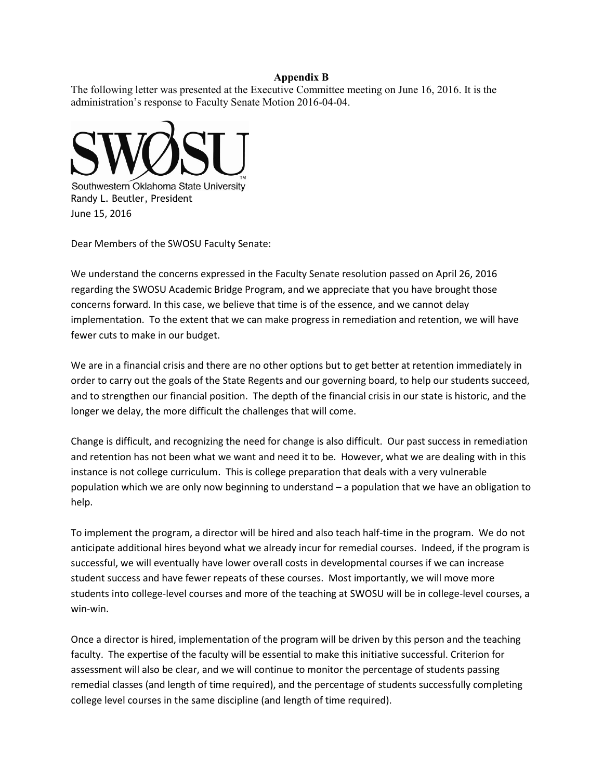#### **Appendix B**

The following letter was presented at the Executive Committee meeting on June 16, 2016. It is the administration's response to Faculty Senate Motion 2016-04-04.



Dear Members of the SWOSU Faculty Senate:

We understand the concerns expressed in the Faculty Senate resolution passed on April 26, 2016 regarding the SWOSU Academic Bridge Program, and we appreciate that you have brought those concerns forward. In this case, we believe that time is of the essence, and we cannot delay implementation. To the extent that we can make progress in remediation and retention, we will have fewer cuts to make in our budget.

We are in a financial crisis and there are no other options but to get better at retention immediately in order to carry out the goals of the State Regents and our governing board, to help our students succeed, and to strengthen our financial position. The depth of the financial crisis in our state is historic, and the longer we delay, the more difficult the challenges that will come.

Change is difficult, and recognizing the need for change is also difficult. Our past success in remediation and retention has not been what we want and need it to be. However, what we are dealing with in this instance is not college curriculum. This is college preparation that deals with a very vulnerable population which we are only now beginning to understand – a population that we have an obligation to help.

To implement the program, a director will be hired and also teach half-time in the program. We do not anticipate additional hires beyond what we already incur for remedial courses. Indeed, if the program is successful, we will eventually have lower overall costs in developmental courses if we can increase student success and have fewer repeats of these courses. Most importantly, we will move more students into college-level courses and more of the teaching at SWOSU will be in college-level courses, a win-win.

Once a director is hired, implementation of the program will be driven by this person and the teaching faculty. The expertise of the faculty will be essential to make this initiative successful. Criterion for assessment will also be clear, and we will continue to monitor the percentage of students passing remedial classes (and length of time required), and the percentage of students successfully completing college level courses in the same discipline (and length of time required).